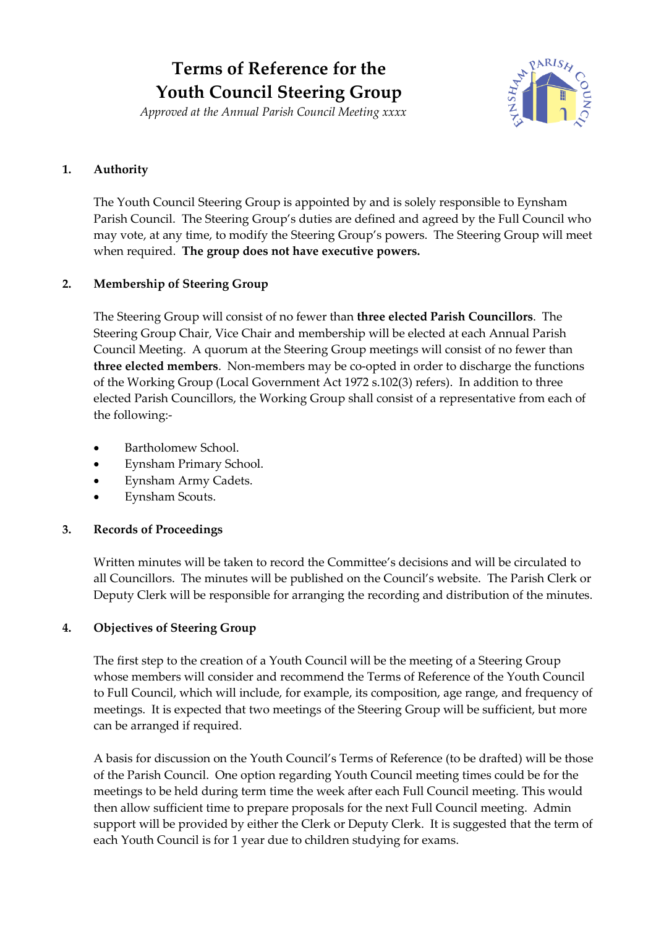# **Terms of Reference for the Youth Council Steering Group**

*Approved at the Annual Parish Council Meeting xxxx*



### **1. Authority**

The Youth Council Steering Group is appointed by and is solely responsible to Eynsham Parish Council. The Steering Group's duties are defined and agreed by the Full Council who may vote, at any time, to modify the Steering Group's powers. The Steering Group will meet when required. **The group does not have executive powers.**

## **2. Membership of Steering Group**

The Steering Group will consist of no fewer than **three elected Parish Councillors**. The Steering Group Chair, Vice Chair and membership will be elected at each Annual Parish Council Meeting. A quorum at the Steering Group meetings will consist of no fewer than **three elected members**. Non-members may be co-opted in order to discharge the functions of the Working Group (Local Government Act 1972 s.102(3) refers). In addition to three elected Parish Councillors, the Working Group shall consist of a representative from each of the following:-

- Bartholomew School.
- Eynsham Primary School.
- Eynsham Army Cadets.
- Eynsham Scouts.

#### **3. Records of Proceedings**

Written minutes will be taken to record the Committee's decisions and will be circulated to all Councillors. The minutes will be published on the Council's website. The Parish Clerk or Deputy Clerk will be responsible for arranging the recording and distribution of the minutes.

#### **4. Objectives of Steering Group**

The first step to the creation of a Youth Council will be the meeting of a Steering Group whose members will consider and recommend the Terms of Reference of the Youth Council to Full Council, which will include, for example, its composition, age range, and frequency of meetings. It is expected that two meetings of the Steering Group will be sufficient, but more can be arranged if required.

A basis for discussion on the Youth Council's Terms of Reference (to be drafted) will be those of the Parish Council. One option regarding Youth Council meeting times could be for the meetings to be held during term time the week after each Full Council meeting. This would then allow sufficient time to prepare proposals for the next Full Council meeting. Admin support will be provided by either the Clerk or Deputy Clerk. It is suggested that the term of each Youth Council is for 1 year due to children studying for exams.